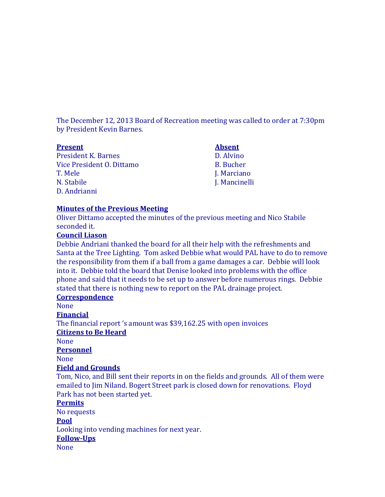The December 12, 2013 Board of Recreation meeting was called to order at 7:30pm by President Kevin Barnes.

| <b>Present</b>             | <b>Absent</b>    |
|----------------------------|------------------|
| <b>President K. Barnes</b> | D. Alvino        |
| Vice President O. Dittamo  | <b>B.</b> Bucher |
| T. Mele                    | J. Marciano      |
| N. Stabile                 | J. Mancinelli    |
| D. Andrianni               |                  |

### **Minutes of the Previous Meeting**

Oliver Dittamo accepted the minutes of the previous meeting and Nico Stabile seconded it.

## **Council Liason**

Debbie Andriani thanked the board for all their help with the refreshments and Santa at the Tree Lighting. Tom asked Debbie what would PAL have to do to remove the responsibility from them if a ball from a game damages a car. Debbie will look into it. Debbie told the board that Denise looked into problems with the office phone and said that it needs to be set up to answer before numerous rings. Debbie stated that there is nothing new to report on the PAL drainage project.

# **Correspondence**

None

**Financial**

The financial report 's amount was \$39,162.25 with open invoices **Citizens to Be Heard**

None

**Personnel**

None

### **Field and Grounds**

Tom, Nico, and Bill sent their reports in on the fields and grounds. All of them were emailed to Jim Niland. Bogert Street park is closed down for renovations. Floyd Park has not been started yet.

### **Permits**

No requests

#### **Pool**

Looking into vending machines for next year.

#### **Follow-Ups**

None